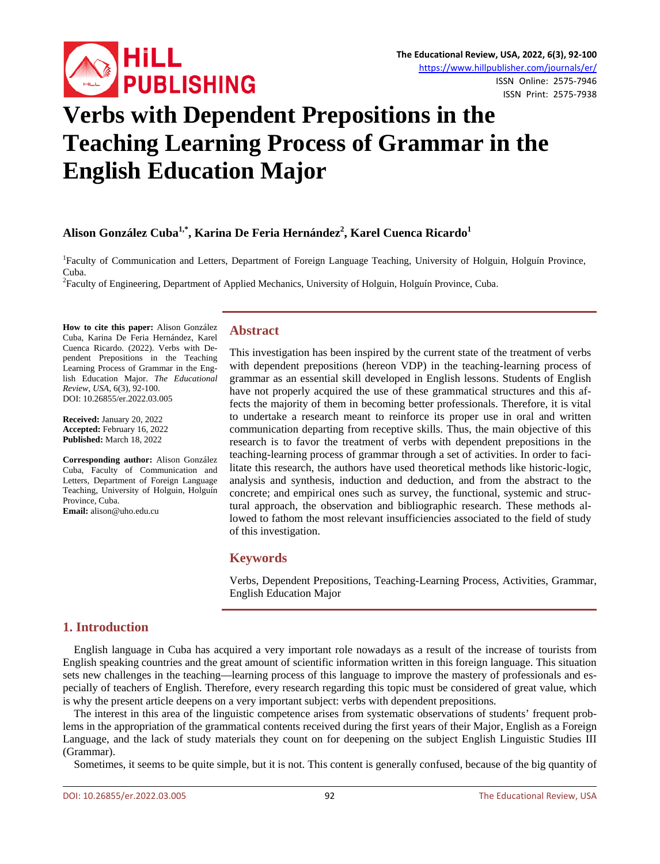

# **Verbs with Dependent Prepositions in the Teaching Learning Process of Grammar in the English Education Major**

# Alison González Cuba<sup>1,\*</sup>, Karina De Feria Hernández<sup>2</sup>, Karel Cuenca Ricardo<sup>1</sup>

<sup>1</sup>Faculty of Communication and Letters, Department of Foreign Language Teaching, University of Holguin, Holguín Province, Cuba.

Faculty of Engineering, Department of Applied Mechanics, University of Holguin, Holguín Province, Cuba.

**How to cite this paper:** Alison González Cuba, Karina De Feria Hernández, Karel Cuenca Ricardo. (2022). Verbs with Dependent Prepositions in the Teaching Learning Process of Grammar in the English Education Major. *The Educational Review, USA*, 6(3), 92-100. DOI: 10.26855/er.2022.03.005

**Received:** January 20, 2022 **Accepted:** February 16, 2022 **Published:** March 18, 2022

**Corresponding author:** Alison González Cuba, Faculty of Communication and Letters, Department of Foreign Language Teaching, University of Holguin, Holguín Province, Cuba. **Email:** alison@uho.edu.cu

# **Abstract**

This investigation has been inspired by the current state of the treatment of verbs with dependent prepositions (hereon VDP) in the teaching-learning process of grammar as an essential skill developed in English lessons. Students of English have not properly acquired the use of these grammatical structures and this affects the majority of them in becoming better professionals. Therefore, it is vital to undertake a research meant to reinforce its proper use in oral and written communication departing from receptive skills. Thus, the main objective of this research is to favor the treatment of verbs with dependent prepositions in the teaching-learning process of grammar through a set of activities. In order to facilitate this research, the authors have used theoretical methods like historic-logic, analysis and synthesis, induction and deduction, and from the abstract to the concrete; and empirical ones such as survey, the functional, systemic and structural approach, the observation and bibliographic research. These methods allowed to fathom the most relevant insufficiencies associated to the field of study of this investigation.

# **Keywords**

Verbs, Dependent Prepositions, Teaching-Learning Process, Activities, Grammar, English Education Major

# **1. Introduction**

English language in Cuba has acquired a very important role nowadays as a result of the increase of tourists from English speaking countries and the great amount of scientific information written in this foreign language. This situation sets new challenges in the teaching—learning process of this language to improve the mastery of professionals and especially of teachers of English. Therefore, every research regarding this topic must be considered of great value, which is why the present article deepens on a very important subject: verbs with dependent prepositions.

The interest in this area of the linguistic competence arises from systematic observations of students' frequent problems in the appropriation of the grammatical contents received during the first years of their Major, English as a Foreign Language, and the lack of study materials they count on for deepening on the subject English Linguistic Studies III (Grammar).

Sometimes, it seems to be quite simple, but it is not. This content is generally confused, because of the big quantity of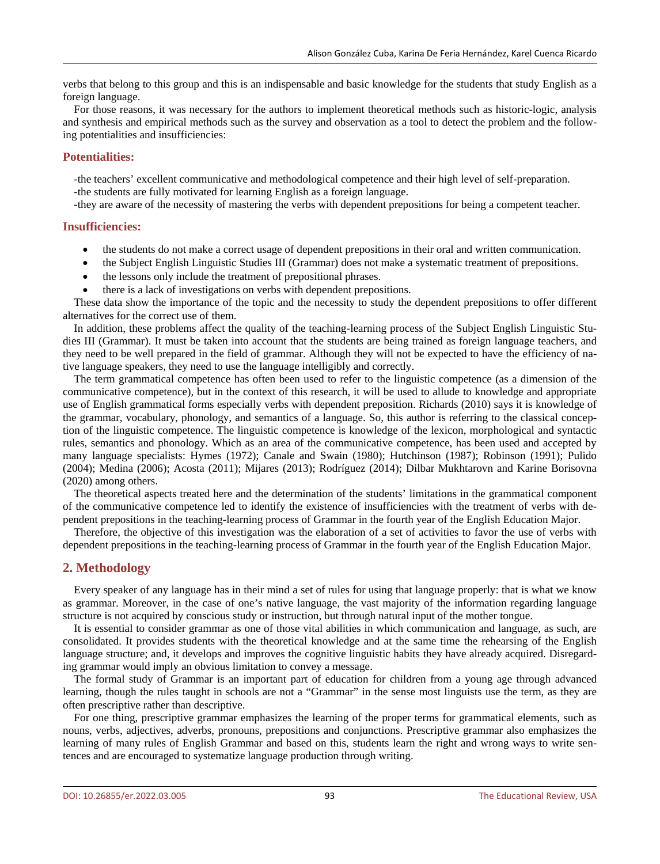verbs that belong to this group and this is an indispensable and basic knowledge for the students that study English as a foreign language.

For those reasons, it was necessary for the authors to implement theoretical methods such as historic-logic, analysis and synthesis and empirical methods such as the survey and observation as a tool to detect the problem and the following potentialities and insufficiencies:

# **Potentialities:**

-the teachers' excellent communicative and methodological competence and their high level of self-preparation. -the students are fully motivated for learning English as a foreign language.

-they are aware of the necessity of mastering the verbs with dependent prepositions for being a competent teacher.

# **Insufficiencies:**

- the students do not make a correct usage of dependent prepositions in their oral and written communication.
- the Subject English Linguistic Studies III (Grammar) does not make a systematic treatment of prepositions.
- the lessons only include the treatment of prepositional phrases.
- there is a lack of investigations on verbs with dependent prepositions.

These data show the importance of the topic and the necessity to study the dependent prepositions to offer different alternatives for the correct use of them.

In addition, these problems affect the quality of the teaching-learning process of the Subject English Linguistic Studies III (Grammar). It must be taken into account that the students are being trained as foreign language teachers, and they need to be well prepared in the field of grammar. Although they will not be expected to have the efficiency of native language speakers, they need to use the language intelligibly and correctly.

The term grammatical competence has often been used to refer to the linguistic competence (as a dimension of the communicative competence), but in the context of this research, it will be used to allude to knowledge and appropriate use of English grammatical forms especially verbs with dependent preposition. Richards (2010) says it is knowledge of the grammar, vocabulary, phonology, and semantics of a language. So, this author is referring to the classical conception of the linguistic competence. The linguistic competence is knowledge of the lexicon, morphological and syntactic rules, semantics and phonology. Which as an area of the communicative competence, has been used and accepted by many language specialists: Hymes (1972); Canale and Swain (1980); Hutchinson (1987); Robinson (1991); Pulido (2004); Medina (2006); Acosta (2011); Mijares (2013); Rodríguez (2014); Dilbar Mukhtarovn and Karine Borisovna (2020) among others.

The theoretical aspects treated here and the determination of the students' limitations in the grammatical component of the communicative competence led to identify the existence of insufficiencies with the treatment of verbs with dependent prepositions in the teaching-learning process of Grammar in the fourth year of the English Education Major.

Therefore, the objective of this investigation was the elaboration of a set of activities to favor the use of verbs with dependent prepositions in the teaching-learning process of Grammar in the fourth year of the English Education Major.

# **2. Methodology**

Every speaker of any language has in their mind a set of rules for using that language properly: that is what we know as grammar. Moreover, in the case of one's native language, the vast majority of the information regarding language structure is not acquired by conscious study or instruction, but through natural input of the mother tongue.

It is essential to consider grammar as one of those vital abilities in which communication and language, as such, are consolidated. It provides students with the theoretical knowledge and at the same time the rehearsing of the English language structure; and, it develops and improves the cognitive linguistic habits they have already acquired. Disregarding grammar would imply an obvious limitation to convey a message.

The formal study of Grammar is an important part of education for children from a young age through advanced learning, though the rules taught in schools are not a "Grammar" in the sense most linguists use the term, as they are often prescriptive rather than descriptive.

For one thing, prescriptive grammar emphasizes the learning of the proper terms for grammatical elements, such as nouns, verbs, adjectives, adverbs, pronouns, prepositions and conjunctions. Prescriptive grammar also emphasizes the learning of many rules of English Grammar and based on this, students learn the right and wrong ways to write sentences and are encouraged to systematize language production through writing.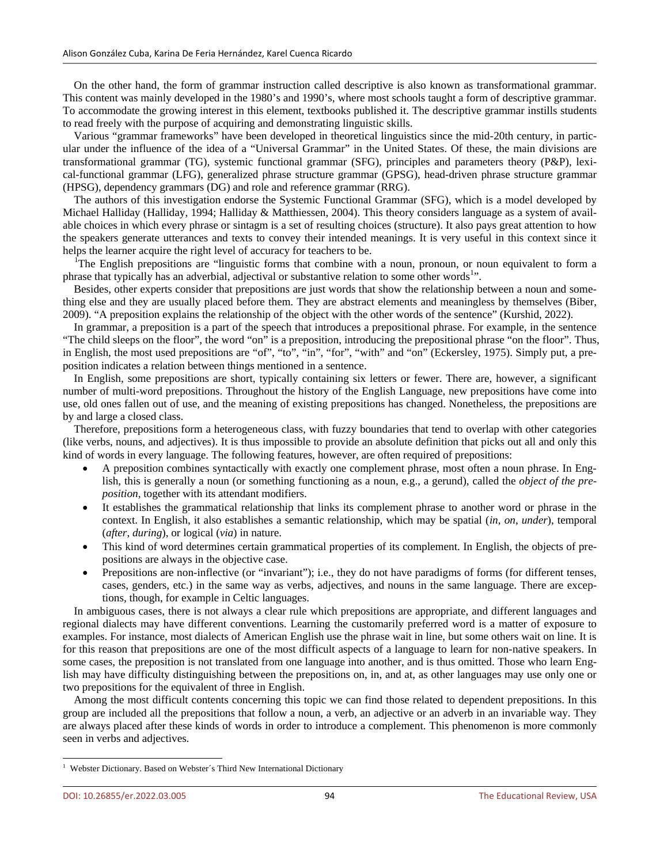On the other hand, the form of grammar instruction called descriptive is also known as transformational grammar. This content was mainly developed in the 1980's and 1990's, where most schools taught a form of descriptive grammar. To accommodate the growing interest in this element, textbooks published it. The descriptive grammar instills students to read freely with the purpose of acquiring and demonstrating linguistic skills.

Various "grammar frameworks" have been developed in theoretical linguistics since the mid-20th century, in particular under the influence of the idea of a "Universal Grammar" in the United States. Of these, the main divisions are transformational grammar (TG), systemic functional grammar (SFG), principles and parameters theory (P&P), lexical-functional grammar (LFG), generalized phrase structure grammar (GPSG), head-driven phrase structure grammar (HPSG), dependency grammars (DG) and role and reference grammar (RRG).

The authors of this investigation endorse the Systemic Functional Grammar (SFG), which is a model developed by Michael Halliday (Halliday, 1994; Halliday & Matthiessen, 2004). This theory considers language as a system of available choices in which every phrase or sintagm is a set of resulting choices (structure). It also pays great attention to how the speakers generate utterances and texts to convey their intended meanings. It is very useful in this context since it helps the learner acquire the right level of accuracy for teachers to be.

<sup>I</sup>The English prepositions are "linguistic forms that combine with a noun, pronoun, or noun equivalent to form a phrase that typically has an adverbial, adjectival or substantive relation to some other words<sup>1</sup>".

Besides, other experts consider that prepositions are just words that show the relationship between a noun and something else and they are usually placed before them. They are abstract elements and meaningless by themselves (Biber, 2009). "A preposition explains the relationship of the object with the other words of the sentence" (Kurshid, 2022).

In grammar, a preposition is a part of the speech that introduces a prepositional phrase. For example, in the sentence "The child sleeps on the floor", the word "on" is a preposition, introducing the prepositional phrase "on the floor". Thus, in English, the most used prepositions are "of", "to", "in", "for", "with" and "on" (Eckersley, 1975). Simply put, a preposition indicates a relation between things mentioned in a sentence.

In English, some prepositions are short, typically containing six letters or fewer. There are, however, a significant number of multi-word prepositions. Throughout the history of the English Language, new prepositions have come into use, old ones fallen out of use, and the meaning of existing prepositions has changed. Nonetheless, the prepositions are by and large a closed class.

Therefore, prepositions form a heterogeneous class, with fuzzy boundaries that tend to overlap with other categories (like verbs, nouns, and adjectives). It is thus impossible to provide an absolute definition that picks out all and only this kind of words in every language. The following features, however, are often required of prepositions:

- A preposition combines syntactically with exactly one complement phrase, most often a noun phrase. In English, this is generally a noun (or something functioning as a noun, e.g., a gerund), called the *object of the preposition*, together with its attendant modifiers.
- It establishes the grammatical relationship that links its complement phrase to another word or phrase in the context. In English, it also establishes a semantic relationship, which may be spatial (*in*, *on*, *under*), temporal (*after*, *during*), or logical (*via*) in nature.
- This kind of word determines certain grammatical properties of its complement. In English, the objects of prepositions are always in the objective case.
- Prepositions are non-inflective (or "invariant"); i.e., they do not have paradigms of forms (for different tenses, cases, genders, etc.) in the same way as verbs, adjectives, and nouns in the same language. There are exceptions, though, for example in Celtic languages.

In ambiguous cases, there is not always a clear rule which prepositions are appropriate, and different languages and regional dialects may have different conventions. Learning the customarily preferred word is a matter of exposure to examples. For instance, most dialects of American English use the phrase wait in line, but some others wait on line. It is for this reason that prepositions are one of the most difficult aspects of a language to learn for non-native speakers. In some cases, the preposition is not translated from one language into another, and is thus omitted. Those who learn English may have difficulty distinguishing between the prepositions on, in, and at, as other languages may use only one or two prepositions for the equivalent of three in English.

Among the most difficult contents concerning this topic we can find those related to dependent prepositions. In this group are included all the prepositions that follow a noun, a verb, an adjective or an adverb in an invariable way. They are always placed after these kinds of words in order to introduce a complement. This phenomenon is more commonly seen in verbs and adjectives.

<span id="page-2-0"></span><sup>&</sup>lt;sup>1</sup> Webster Dictionary. Based on Webster's Third New International Dictionary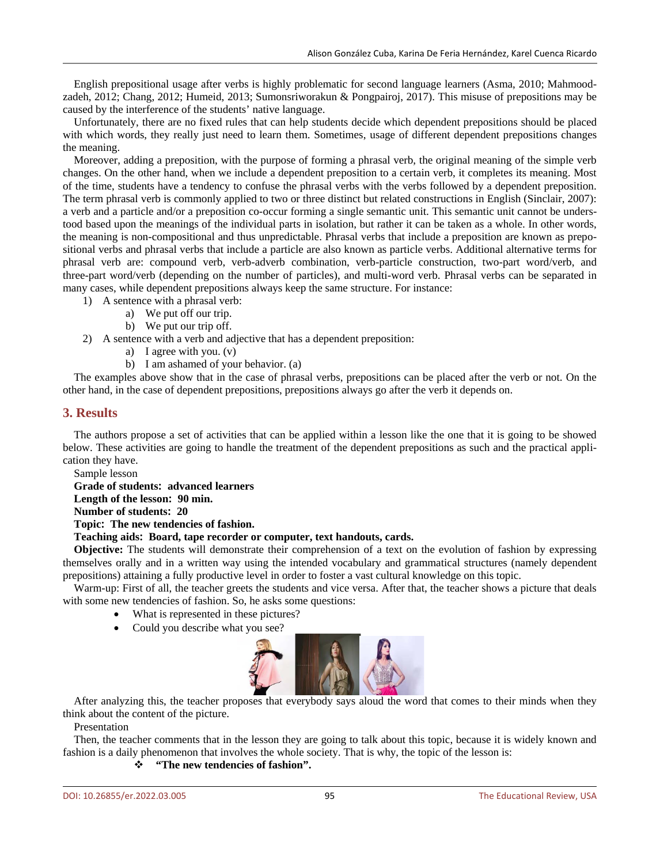English prepositional usage after verbs is highly problematic for second language learners (Asma, 2010; Mahmoodzadeh, 2012; Chang, 2012; Humeid, 2013; Sumonsriworakun & Pongpairoj, 2017). This misuse of prepositions may be caused by the interference of the students' native language.

Unfortunately, there are no fixed rules that can help students decide which dependent prepositions should be placed with which words, they really just need to learn them. Sometimes, usage of different dependent prepositions changes the meaning.

Moreover, adding a preposition, with the purpose of forming a phrasal verb, the original meaning of the simple verb changes. On the other hand, when we include a dependent preposition to a certain verb, it completes its meaning. Most of the time, students have a tendency to confuse the phrasal verbs with the verbs followed by a dependent preposition. The term phrasal verb is commonly applied to two or three distinct but related constructions in English (Sinclair, 2007): a verb and a particle and/or a preposition co-occur forming a single semantic unit. This semantic unit cannot be understood based upon the meanings of the individual parts in isolation, but rather it can be taken as a whole. In other words, the meaning is non-compositional and thus unpredictable. Phrasal verbs that include a preposition are known as prepositional verbs and phrasal verbs that include a particle are also known as particle verbs. Additional alternative terms for phrasal verb are: compound verb, verb-adverb combination, verb-particle construction, two-part word/verb, and three-part word/verb (depending on the number of particles), and multi-word verb. Phrasal verbs can be separated in many cases, while dependent prepositions always keep the same structure. For instance:

- 1) A sentence with a phrasal verb:
	- a) We put off our trip.
	- b) We put our trip off.
- 2) A sentence with a verb and adjective that has a dependent preposition:
	- a) I agree with you. (v)
	- b) I am ashamed of your behavior. (a)

The examples above show that in the case of phrasal verbs, prepositions can be placed after the verb or not. On the other hand, in the case of dependent prepositions, prepositions always go after the verb it depends on.

# **3. Results**

The authors propose a set of activities that can be applied within a lesson like the one that it is going to be showed below. These activities are going to handle the treatment of the dependent prepositions as such and the practical application they have.

Sample lesson

**Grade of students׃ advanced learners Length of the lesson׃ 90 min. Number of students׃ 20 Topic׃ The new tendencies of fashion.**

# **Teaching aids׃ Board, tape recorder or computer, text handouts, cards.**

**Objective:** The students will demonstrate their comprehension of a text on the evolution of fashion by expressing themselves orally and in a written way using the intended vocabulary and grammatical structures (namely dependent prepositions) attaining a fully productive level in order to foster a vast cultural knowledge on this topic.

Warm-up: First of all, the teacher greets the students and vice versa. After that, the teacher shows a picture that deals with some new tendencies of fashion. So, he asks some questions:

- What is represented in these pictures?
- Could you describe what you see?



After analyzing this, the teacher proposes that everybody says aloud the word that comes to their minds when they think about the content of the picture.

Presentation

Then, the teacher comments that in the lesson they are going to talk about this topic, because it is widely known and fashion is a daily phenomenon that involves the whole society. That is why, the topic of the lesson is:

# **"The new tendencies of fashion".**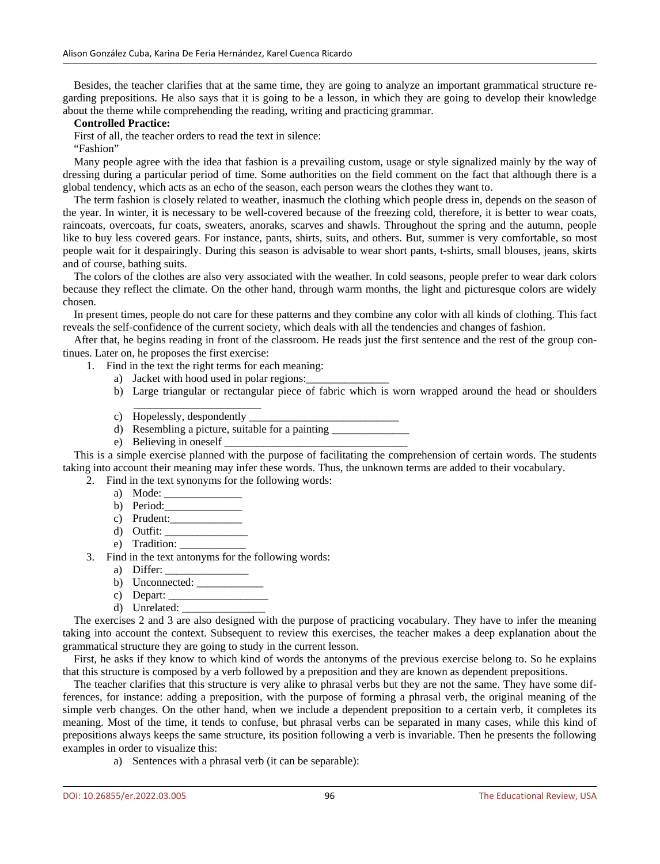Besides, the teacher clarifies that at the same time, they are going to analyze an important grammatical structure regarding prepositions. He also says that it is going to be a lesson, in which they are going to develop their knowledge about the theme while comprehending the reading, writing and practicing grammar.

#### **Controlled Practice:**

First of all, the teacher orders to read the text in silence:

"Fashion"

Many people agree with the idea that fashion is a prevailing custom, usage or style signalized mainly by the way of dressing during a particular period of time. Some authorities on the field comment on the fact that although there is a global tendency, which acts as an echo of the season, each person wears the clothes they want to.

The term fashion is closely related to weather, inasmuch the clothing which people dress in, depends on the season of the year. In winter, it is necessary to be well-covered because of the freezing cold, therefore, it is better to wear coats, raincoats, overcoats, fur coats, sweaters, anoraks, scarves and shawls. Throughout the spring and the autumn, people like to buy less covered gears. For instance, pants, shirts, suits, and others. But, summer is very comfortable, so most people wait for it despairingly. During this season is advisable to wear short pants, t-shirts, small blouses, jeans, skirts and of course, bathing suits.

The colors of the clothes are also very associated with the weather. In cold seasons, people prefer to wear dark colors because they reflect the climate. On the other hand, through warm months, the light and picturesque colors are widely chosen.

In present times, people do not care for these patterns and they combine any color with all kinds of clothing. This fact reveals the self-confidence of the current society, which deals with all the tendencies and changes of fashion.

After that, he begins reading in front of the classroom. He reads just the first sentence and the rest of the group continues. Later on, he proposes the first exercise:

- 1. Find in the text the right terms for each meaning:
	- a) Jacket with hood used in polar regions:
	- b) Large triangular or rectangular piece of fabric which is worn wrapped around the head or shoulders
	- \_\_\_\_\_\_\_\_\_\_\_\_\_\_\_\_\_\_\_\_\_\_\_ c) Hopelessly, despondently
	- d) Resembling a picture, suitable for a painting
	- e) Believing in oneself

This is a simple exercise planned with the purpose of facilitating the comprehension of certain words. The students taking into account their meaning may infer these words. Thus, the unknown terms are added to their vocabulary.

2. Find in the text synonyms for the following words:

- a) Mode:
- b) Period:
- c) Prudent:\_\_\_\_\_\_\_\_\_\_\_\_\_
- d) Outfit: \_\_\_\_\_\_\_\_\_\_\_\_\_\_\_
- e) Tradition:
- 3. Find in the text antonyms for the following words:
	- a) Differ:
	- b) Unconnected:
	- c) Depart:  $\Box$
	- d) Unrelated: \_\_\_\_\_\_\_\_\_\_\_\_\_\_\_

The exercises 2 and 3 are also designed with the purpose of practicing vocabulary. They have to infer the meaning taking into account the context. Subsequent to review this exercises, the teacher makes a deep explanation about the grammatical structure they are going to study in the current lesson.

First, he asks if they know to which kind of words the antonyms of the previous exercise belong to. So he explains that this structure is composed by a verb followed by a preposition and they are known as dependent prepositions.

The teacher clarifies that this structure is very alike to phrasal verbs but they are not the same. They have some differences, for instance: adding a preposition, with the purpose of forming a phrasal verb, the original meaning of the simple verb changes. On the other hand, when we include a dependent preposition to a certain verb, it completes its meaning. Most of the time, it tends to confuse, but phrasal verbs can be separated in many cases, while this kind of prepositions always keeps the same structure, its position following a verb is invariable. Then he presents the following examples in order to visualize this:

a) Sentences with a phrasal verb (it can be separable):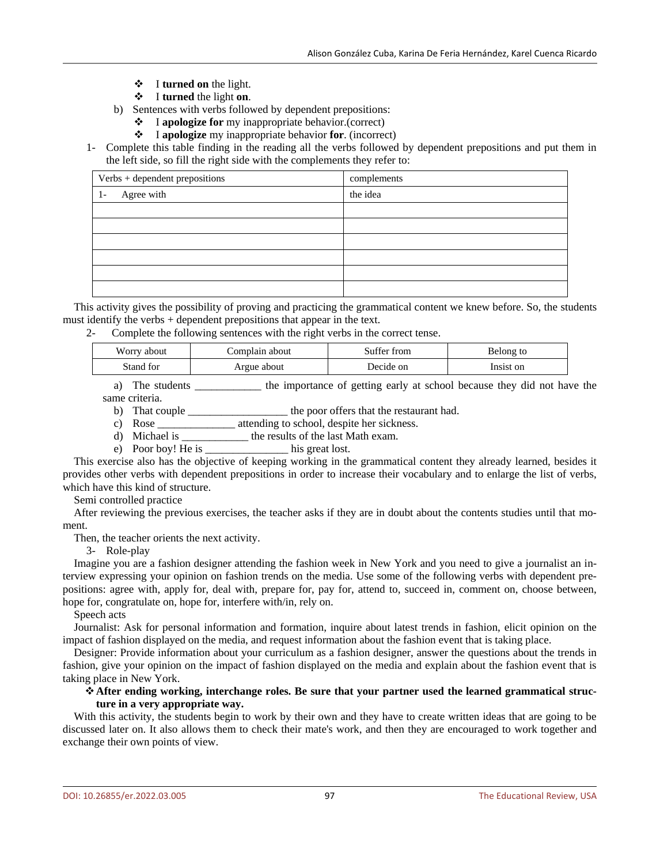- $\mathbf{\hat{P}}$  I **turned** on the light.
- I **turned** the light **on**.
- b) Sentences with verbs followed by dependent prepositions:
	- I **apologize for** my inappropriate behavior.(correct)
	- I **apologize** my inappropriate behavior **for**. (incorrect)
- 1- Complete this table finding in the reading all the verbs followed by dependent prepositions and put them in the left side, so fill the right side with the complements they refer to:

| Verbs + dependent prepositions | complements |
|--------------------------------|-------------|
| Agree with<br>$1-$             | the idea    |
|                                |             |
|                                |             |
|                                |             |
|                                |             |
|                                |             |
|                                |             |

This activity gives the possibility of proving and practicing the grammatical content we knew before. So, the students must identify the verbs + dependent prepositions that appear in the text.

2- Complete the following sentences with the right verbs in the correct tense.

| Worry about | Complain about | Suffer from | Belong to |
|-------------|----------------|-------------|-----------|
| Stand for   | Argue about    | Decide on   | Insist on |

a) The students the importance of getting early at school because they did not have the same criteria.

b) That couple \_\_\_\_\_\_\_\_\_\_\_\_\_\_\_\_\_\_\_\_\_ the poor offers that the restaurant had.

c) Rose \_\_\_\_\_\_\_\_\_\_\_\_\_\_ attending to school, despite her sickness.

d) Michael is \_\_\_\_\_\_\_\_\_\_\_\_ the results of the last Math exam.

e) Poor boy! He is \_\_\_\_\_\_\_\_\_\_\_\_\_\_\_ his great lost.

This exercise also has the objective of keeping working in the grammatical content they already learned, besides it provides other verbs with dependent prepositions in order to increase their vocabulary and to enlarge the list of verbs, which have this kind of structure.

Semi controlled practice

After reviewing the previous exercises, the teacher asks if they are in doubt about the contents studies until that moment.

Then, the teacher orients the next activity.

3- Role-play

Imagine you are a fashion designer attending the fashion week in New York and you need to give a journalist an interview expressing your opinion on fashion trends on the media. Use some of the following verbs with dependent prepositions: agree with, apply for, deal with, prepare for, pay for, attend to, succeed in, comment on, choose between, hope for, congratulate on, hope for, interfere with/in, rely on.

Speech acts

Journalist: Ask for personal information and formation, inquire about latest trends in fashion, elicit opinion on the impact of fashion displayed on the media, and request information about the fashion event that is taking place.

Designer: Provide information about your curriculum as a fashion designer, answer the questions about the trends in fashion, give your opinion on the impact of fashion displayed on the media and explain about the fashion event that is taking place in New York.

# **After ending working, interchange roles. Be sure that your partner used the learned grammatical structure in a very appropriate way.**

With this activity, the students begin to work by their own and they have to create written ideas that are going to be discussed later on. It also allows them to check their mate's work, and then they are encouraged to work together and exchange their own points of view.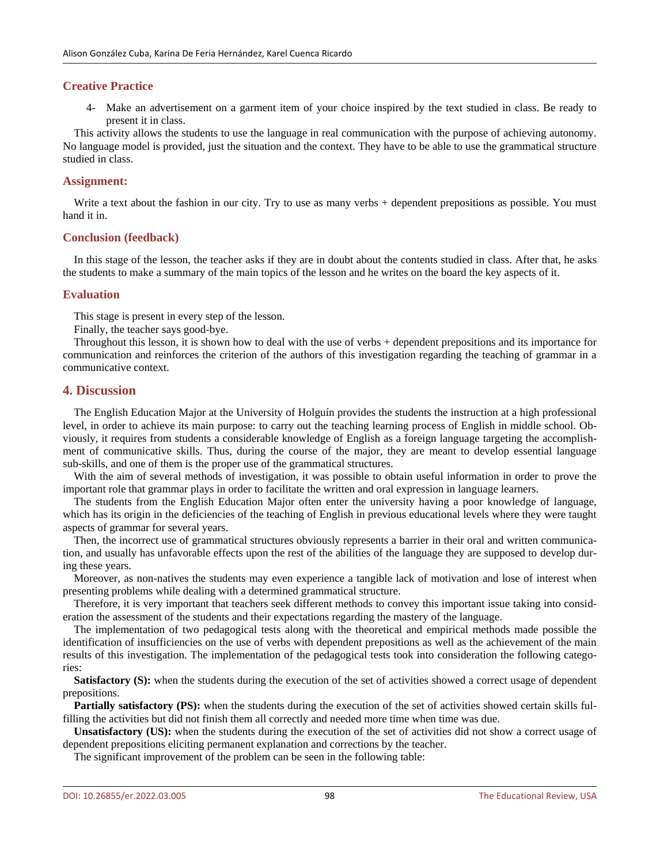# **Creative Practice**

4- Make an advertisement on a garment item of your choice inspired by the text studied in class. Be ready to present it in class.

This activity allows the students to use the language in real communication with the purpose of achieving autonomy. No language model is provided, just the situation and the context. They have to be able to use the grammatical structure studied in class.

# **Assignment:**

Write a text about the fashion in our city. Try to use as many verbs + dependent prepositions as possible. You must hand it in.

# **Conclusion (feedback)**

In this stage of the lesson, the teacher asks if they are in doubt about the contents studied in class. After that, he asks the students to make a summary of the main topics of the lesson and he writes on the board the key aspects of it.

# **Evaluation**

This stage is present in every step of the lesson.

Finally, the teacher says good-bye.

Throughout this lesson, it is shown how to deal with the use of verbs + dependent prepositions and its importance for communication and reinforces the criterion of the authors of this investigation regarding the teaching of grammar in a communicative context.

# **4. Discussion**

The English Education Major at the University of Holguín provides the students the instruction at a high professional level, in order to achieve its main purpose: to carry out the teaching learning process of English in middle school. Obviously, it requires from students a considerable knowledge of English as a foreign language targeting the accomplishment of communicative skills. Thus, during the course of the major, they are meant to develop essential language sub-skills, and one of them is the proper use of the grammatical structures.

With the aim of several methods of investigation, it was possible to obtain useful information in order to prove the important role that grammar plays in order to facilitate the written and oral expression in language learners.

The students from the English Education Major often enter the university having a poor knowledge of language, which has its origin in the deficiencies of the teaching of English in previous educational levels where they were taught aspects of grammar for several years.

Then, the incorrect use of grammatical structures obviously represents a barrier in their oral and written communication, and usually has unfavorable effects upon the rest of the abilities of the language they are supposed to develop during these years.

Moreover, as non-natives the students may even experience a tangible lack of motivation and lose of interest when presenting problems while dealing with a determined grammatical structure.

Therefore, it is very important that teachers seek different methods to convey this important issue taking into consideration the assessment of the students and their expectations regarding the mastery of the language.

The implementation of two pedagogical tests along with the theoretical and empirical methods made possible the identification of insufficiencies on the use of verbs with dependent prepositions as well as the achievement of the main results of this investigation. The implementation of the pedagogical tests took into consideration the following categories:

**Satisfactory (S):** when the students during the execution of the set of activities showed a correct usage of dependent prepositions.

**Partially satisfactory (PS):** when the students during the execution of the set of activities showed certain skills fulfilling the activities but did not finish them all correctly and needed more time when time was due.

**Unsatisfactory (US):** when the students during the execution of the set of activities did not show a correct usage of dependent prepositions eliciting permanent explanation and corrections by the teacher.

The significant improvement of the problem can be seen in the following table: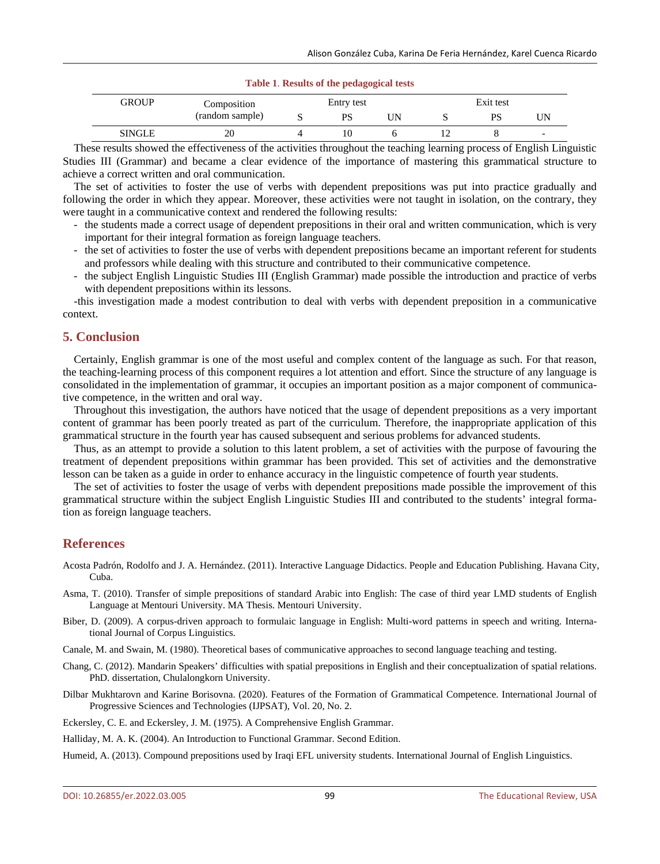#### **Table 1**. **Results of the pedagogical tests**

| <b>GROUP</b>  | Composition     | Entry test |    |     | Exit test |    |    |
|---------------|-----------------|------------|----|-----|-----------|----|----|
|               | (random sample) |            | PS | JN. |           | PS | UΝ |
| <b>SINGLE</b> | 20              |            | 10 |     |           |    | -  |

These results showed the effectiveness of the activities throughout the teaching learning process of English Linguistic Studies III (Grammar) and became a clear evidence of the importance of mastering this grammatical structure to achieve a correct written and oral communication.

The set of activities to foster the use of verbs with dependent prepositions was put into practice gradually and following the order in which they appear. Moreover, these activities were not taught in isolation, on the contrary, they were taught in a communicative context and rendered the following results:

- the students made a correct usage of dependent prepositions in their oral and written communication, which is very important for their integral formation as foreign language teachers.
- the set of activities to foster the use of verbs with dependent prepositions became an important referent for students and professors while dealing with this structure and contributed to their communicative competence.
- the subject English Linguistic Studies III (English Grammar) made possible the introduction and practice of verbs with dependent prepositions within its lessons.

-this investigation made a modest contribution to deal with verbs with dependent preposition in a communicative context.

# **5. Conclusion**

Certainly, English grammar is one of the most useful and complex content of the language as such. For that reason, the teaching-learning process of this component requires a lot attention and effort. Since the structure of any language is consolidated in the implementation of grammar, it occupies an important position as a major component of communicative competence, in the written and oral way.

Throughout this investigation, the authors have noticed that the usage of dependent prepositions as a very important content of grammar has been poorly treated as part of the curriculum. Therefore, the inappropriate application of this grammatical structure in the fourth year has caused subsequent and serious problems for advanced students.

Thus, as an attempt to provide a solution to this latent problem, a set of activities with the purpose of favouring the treatment of dependent prepositions within grammar has been provided. This set of activities and the demonstrative lesson can be taken as a guide in order to enhance accuracy in the linguistic competence of fourth year students.

The set of activities to foster the usage of verbs with dependent prepositions made possible the improvement of this grammatical structure within the subject English Linguistic Studies III and contributed to the students' integral formation as foreign language teachers.

#### **References**

- Acosta Padrón, Rodolfo and J. A. Hernández. (2011). Interactive Language Didactics. People and Education Publishing. Havana City, Cuba.
- Asma, T. (2010). Transfer of simple prepositions of standard Arabic into English: The case of third year LMD students of English Language at Mentouri University. MA Thesis. Mentouri University.
- Biber, D. (2009). A corpus-driven approach to formulaic language in English: Multi-word patterns in speech and writing. International Journal of Corpus Linguistics.

Canale, M. and Swain, M. (1980). Theoretical bases of communicative approaches to second language teaching and testing.

- Chang, C. (2012). Mandarin Speakers' difficulties with spatial prepositions in English and their conceptualization of spatial relations. PhD. dissertation, Chulalongkorn University.
- Dilbar Mukhtarovn and Karine Borisovna. (2020). Features of the Formation of Grammatical Competence. International Journal of Progressive Sciences and Technologies (IJPSAT), Vol. 20, No. 2.
- Eckersley, C. E. and Eckersley, J. M. (1975). A Comprehensive English Grammar.

Halliday, M. A. K. (2004). An Introduction to Functional Grammar. Second Edition.

Humeid, A. (2013). Compound prepositions used by Iraqi EFL university students. International Journal of English Linguistics.